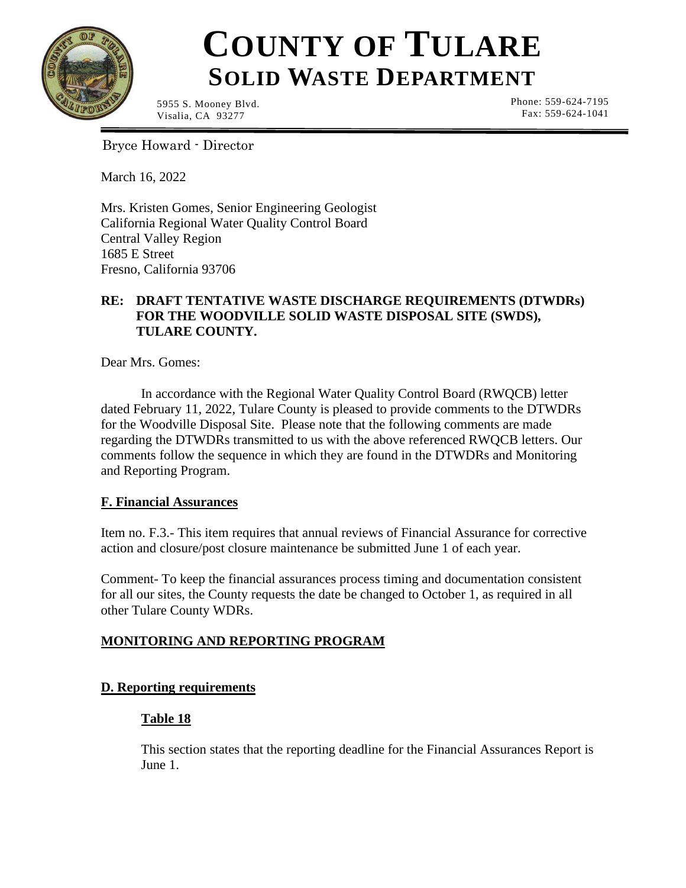

# **COUNTY OF TULARE SOLID WASTE DEPARTMENT**

5955 S. Mooney Blvd. Visalia, CA 93277

Phone: 559-624-7195 Fax: 559-624-1041

Bryce Howard - Director

March 16, 2022

Mrs. Kristen Gomes, Senior Engineering Geologist California Regional Water Quality Control Board Central Valley Region 1685 E Street Fresno, California 93706

## **RE: DRAFT TENTATIVE WASTE DISCHARGE REQUIREMENTS (DTWDRs) FOR THE WOODVILLE SOLID WASTE DISPOSAL SITE (SWDS), TULARE COUNTY.**

Dear Mrs. Gomes:

 In accordance with the Regional Water Quality Control Board (RWQCB) letter dated February 11, 2022, Tulare County is pleased to provide comments to the DTWDRs for the Woodville Disposal Site. Please note that the following comments are made regarding the DTWDRs transmitted to us with the above referenced RWQCB letters. Our comments follow the sequence in which they are found in the DTWDRs and Monitoring and Reporting Program.

#### **F. Financial Assurances**

Item no. F.3.- This item requires that annual reviews of Financial Assurance for corrective action and closure/post closure maintenance be submitted June 1 of each year.

Comment- To keep the financial assurances process timing and documentation consistent for all our sites, the County requests the date be changed to October 1, as required in all other Tulare County WDRs.

## **MONITORING AND REPORTING PROGRAM**

#### **D. Reporting requirements**

#### **Table 18**

This section states that the reporting deadline for the Financial Assurances Report is June 1.